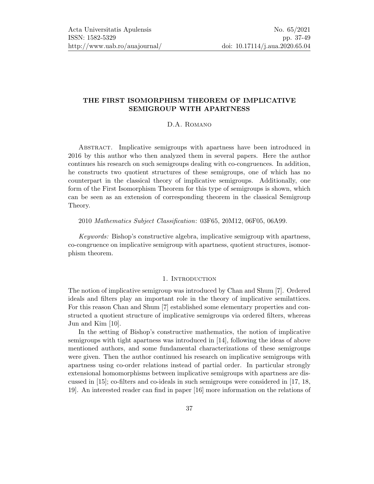# THE FIRST ISOMORPHISM THEOREM OF IMPLICATIVE SEMIGROUP WITH APARTNESS

## D.A. Romano

Abstract. Implicative semigroups with apartness have been introduced in 2016 by this author who then analyzed them in several papers. Here the author continues his research on such semigroups dealing with co-congruences. In addition, he constructs two quotient structures of these semigroups, one of which has no counterpart in the classical theory of implicative semigroups. Additionally, one form of the First Isomorphism Theorem for this type of semigroups is shown, which can be seen as an extension of corresponding theorem in the classical Semigroup Theory.

2010 Mathematics Subject Classification: 03F65, 20M12, 06F05, 06A99.

Keywords: Bishop's constructive algebra, implicative semigroup with apartness, co-congruence on implicative semigroup with apartness, quotient structures, isomorphism theorem.

### 1. Introduction

The notion of implicative semigroup was introduced by Chan and Shum [\[7\]](#page-11-0). Ordered ideals and filters play an important role in the theory of implicative semilattices. For this reason Chan and Shum [\[7\]](#page-11-0) established some elementary properties and constructed a quotient structure of implicative semigroups via ordered filters, whereas Jun and Kim [\[10\]](#page-11-1).

In the setting of Bishop's constructive mathematics, the notion of implicative semigroups with tight apartness was introduced in [\[14\]](#page-11-2), following the ideas of above mentioned authors, and some fundamental characterizations of these semigroups were given. Then the author continued his research on implicative semigroups with apartness using co-order relations instead of partial order. In particular strongly extensional homomorphisms between implicative semigroups with apartness are discussed in [\[15\]](#page-11-3); co-filters and co-ideals in such semigroups were considered in [\[17,](#page-11-4) [18,](#page-11-5) [19\]](#page-11-6). An interested reader can find in paper [\[16\]](#page-11-7) more information on the relations of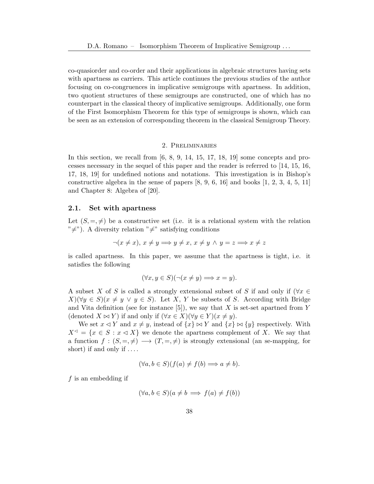co-quasiorder and co-order and their applications in algebraic structures having sets with apartness as carriers. This article continues the previous studies of the author focusing on co-congruences in implicative semigroups with apartness. In addition, two quotient structures of these semigroups are constructed, one of which has no counterpart in the classical theory of implicative semigroups. Additionally, one form of the First Isomorphism Theorem for this type of semigroups is shown, which can be seen as an extension of corresponding theorem in the classical Semigroup Theory.

### 2. Preliminaries

In this section, we recall from  $[6, 8, 9, 14, 15, 17, 18, 19]$  $[6, 8, 9, 14, 15, 17, 18, 19]$  $[6, 8, 9, 14, 15, 17, 18, 19]$  $[6, 8, 9, 14, 15, 17, 18, 19]$  $[6, 8, 9, 14, 15, 17, 18, 19]$  $[6, 8, 9, 14, 15, 17, 18, 19]$  $[6, 8, 9, 14, 15, 17, 18, 19]$  $[6, 8, 9, 14, 15, 17, 18, 19]$  some concepts and processes necessary in the sequel of this paper and the reader is referred to [\[14,](#page-11-2) [15,](#page-11-3) [16,](#page-11-7) [17,](#page-11-4) [18,](#page-11-5) [19\]](#page-11-6) for undefined notions and notations. This investigation is in Bishop's constructive algebra in the sense of papers  $[8, 9, 6, 16]$  $[8, 9, 6, 16]$  $[8, 9, 6, 16]$  $[8, 9, 6, 16]$  and books  $[1, 2, 3, 4, 5, 11]$  $[1, 2, 3, 4, 5, 11]$  $[1, 2, 3, 4, 5, 11]$  $[1, 2, 3, 4, 5, 11]$  $[1, 2, 3, 4, 5, 11]$  $[1, 2, 3, 4, 5, 11]$ and Chapter 8: Algebra of [\[20\]](#page-12-1).

### 2.1. Set with apartness

Let  $(S, =, \neq)$  be a constructive set (i.e. it is a relational system with the relation  $"\neq$ "). A diversity relation " $\neq$ " satisfying conditions"

$$
\neg(x \neq x), x \neq y \Longrightarrow y \neq x, x \neq y \land y = z \Longrightarrow x \neq z
$$

is called apartness. In this paper, we assume that the apartness is tight, i.e. it satisfies the following

$$
(\forall x, y \in S)(\neg(x \neq y) \Longrightarrow x = y).
$$

A subset X of S is called a strongly extensional subset of S if and only if ( $\forall x \in$  $X(\forall y \in S)(x \neq y \lor y \in S)$ . Let X, Y be subsets of S. According with Bridge and Vita definition (see for instance  $[5]$ ), we say that X is set-set apartned from Y (denoted  $X \bowtie Y$ ) if and only if  $(\forall x \in X)(\forall y \in Y)(x \neq y)$ .

We set  $x \le Y$  and  $x \ne y$ , instead of  $\{x\} \bowtie Y$  and  $\{x\} \bowtie \{y\}$  respectively. With  $X^{\lhd} = \{x \in S : x \lhd X\}$  we denote the apartness complement of X. We say that a function  $f : (S, =, \neq) \longrightarrow (T, =, \neq)$  is strongly extensional (an se-mapping, for short) if and only if  $\dots$ 

$$
(\forall a, b \in S)(f(a) \neq f(b) \Longrightarrow a \neq b).
$$

f is an embedding if

$$
(\forall a, b \in S)(a \neq b \implies f(a) \neq f(b))
$$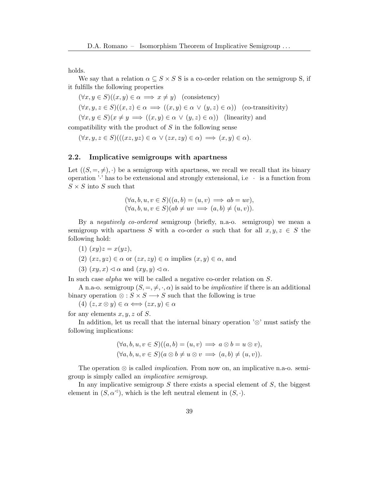holds.

We say that a relation  $\alpha \subseteq S \times S$  S is a co-order relation on the semigroup S, if it fulfills the following properties

$$
(\forall x, y \in S)((x, y) \in \alpha \implies x \neq y) \quad \text{(consistency)}
$$
  

$$
(\forall x, y, z \in S)((x, z) \in \alpha \implies ((x, y) \in \alpha \lor (y, z) \in \alpha)) \quad \text{(co-transitivity)}
$$
  

$$
(\forall x, y \in S)(x \neq y \implies ((x, y) \in \alpha \lor (y, z) \in \alpha)) \quad \text{(linearity) and}
$$

compatibility with the product of  $S$  in the following sense

$$
(\forall x, y, z \in S) (((xz, yz) \in \alpha \lor (zx, zy) \in \alpha) \implies (x, y) \in \alpha).
$$

### 2.2. Implicative semigroups with apartness

Let  $((S, =, \neq), \cdot)$  be a semigroup with apartness, we recall we recall that its binary operation  $\cdot$  has to be extensional and strongly extensional, i.e  $\cdot$  is a function from  $S \times S$  into S such that

$$
(\forall a, b, u, v \in S)((a, b) = (u, v) \implies ab = uv), (\forall a, b, u, v \in S)(ab \ne uv \implies (a, b) \ne (u, v)).
$$

By a negatively co-ordered semigroup (briefly, n.a-o. semigroup) we mean a semigroup with apartness S with a co-order  $\alpha$  such that for all  $x, y, z \in S$  the following hold:

- (1)  $(xy)z = x(yz),$
- (2)  $(xz, yz) \in \alpha$  or  $(zx, zy) \in \alpha$  implies  $(x, y) \in \alpha$ , and
- (3)  $(xy, x) \triangleleft \alpha$  and  $(xy, y) \triangleleft \alpha$ .

In such case alpha we will be called a negative co-order relation on S.

A n.a-o. semigroup  $(S, =, \neq, \cdot, \alpha)$  is said to be *implicative* if there is an additional binary operation  $\otimes : S \times S \longrightarrow S$  such that the following is true

(4)  $(z, x \otimes y) \in \alpha \Longleftrightarrow (zx, y) \in \alpha$ 

for any elements  $x, y, z$  of S.

In addition, let us recall that the internal binary operation '⊗' must satisfy the following implications:

$$
(\forall a, b, u, v \in S)((a, b) = (u, v) \implies a \otimes b = u \otimes v),
$$
  

$$
(\forall a, b, u, v \in S)(a \otimes b \neq u \otimes v \implies (a, b) \neq (u, v)).
$$

The operation  $\otimes$  is called *implication*. From now on, an implicative n.a-o. semigroup is simply called an implicative semigroup.

In any implicative semigroup  $S$  there exists a special element of  $S$ , the biggest element in  $(S, \alpha^{\triangleleft})$ , which is the left neutral element in  $(S, \cdot)$ .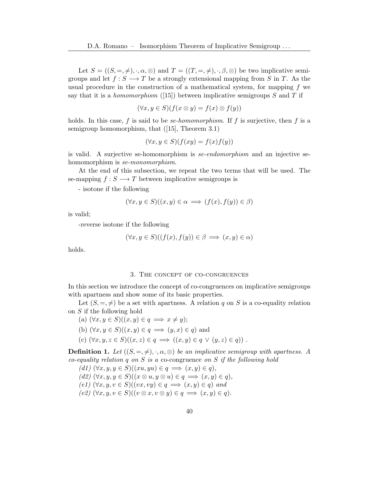Let  $S = ((S, =, \neq), \cdot, \alpha, \otimes)$  and  $T = ((T, =, \neq), \cdot, \beta, \otimes)$  be two implicative semigroups and let  $f : S \longrightarrow T$  be a strongly extensional mapping from S in T. As the usual procedure in the construction of a mathematical system, for mapping  $f$  we say that it is a *homomorphism* ([\[15\]](#page-11-3)) between implicative semigroups S and T if

$$
(\forall x, y \in S)(f(x \otimes y) = f(x) \otimes f(y))
$$

holds. In this case, f is said to be *se-homomorphism*. If f is surjective, then f is a semigroup homomorphism, that ([\[15\]](#page-11-3), Theorem 3.1)

$$
(\forall x, y \in S)(f(xy) = f(x)f(y))
$$

is valid. A surjective se-homomorphism is se-endomorphism and an injective sehomomorphism is *se-monomorphism*.

At the end of this subsection, we repeat the two terms that will be used. The se-mapping  $f : S \longrightarrow T$  between implicative semigroups is

- isotone if the following

$$
(\forall x, y \in S)((x, y) \in \alpha \implies (f(x), f(y)) \in \beta)
$$

is valid;

-reverse isotone if the following

$$
(\forall x, y \in S)((f(x), f(y)) \in \beta \implies (x, y) \in \alpha)
$$

holds.

#### 3. The concept of co-congruences

In this section we introduce the concept of co-congruences on implicative semigroups with apartness and show some of its basic properties.

Let  $(S, =, \neq)$  be a set with apartness. A relation q on S is a co-equality relation on S if the following hold

(a) 
$$
(\forall x, y \in S)((x, y) \in q \implies x \neq y);
$$

(b) 
$$
(\forall x, y \in S)((x, y) \in q \implies (y, x) \in q)
$$
 and

(c)  $(\forall x, y, z \in S)((x, z) \in q \implies ((x, y) \in q \lor (y, z) \in q))$ .

**Definition 1.** Let  $((S, =, \neq), \cdot, \alpha, \otimes)$  be an implicative semigroup with apartness. A co-equality relation  $q$  on  $S$  is a co-congruence on  $S$  if the following hold

(d1) 
$$
(\forall x, y, y \in S)
$$
 $((xu, yu) \in q \implies (x, y) \in q),$   
(d2)  $(\forall x, y, y \in S)$  $((x \otimes u, y \otimes u) \in q \implies (x, y) \in q),$   
(e1)  $(\forall x, y, v \in S)$  $((vx, vy) \in q \implies (x, y) \in q)$  and  
(e2)  $(\forall x, y, v \in S)$  $((v \otimes x, v \otimes y) \in q \implies (x, y) \in q).$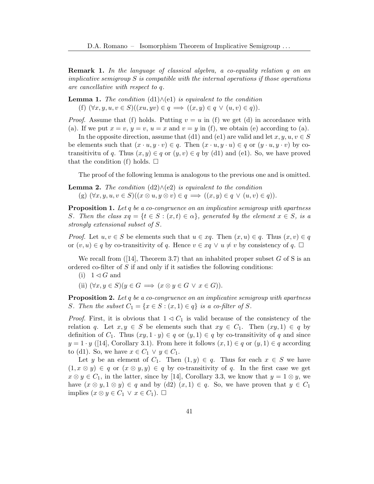Remark 1. In the language of classical algebra, a co-equality relation q on an implicative semigroup  $S$  is compatible with the internal operations if those operations are cancellative with respect to q.

<span id="page-4-0"></span>**Lemma 1.** The condition  $(d1) \wedge (e1)$  is equivalent to the condition (f)  $(\forall x, y, u, v \in S)((xu, yv) \in q \implies ((x, y) \in q \lor (u, v) \in q)).$ 

*Proof.* Assume that (f) holds. Putting  $v = u$  in (f) we get (d) in accordance with (a). If we put  $x = v$ ,  $y = v$ ,  $u = x$  and  $v = y$  in (f), we obtain (e) according to (a).

In the opposite direction, assume that (d1) and (e1) are valid and let  $x, y, u, v \in S$ be elements such that  $(x \cdot u, y \cdot v) \in q$ . Then  $(x \cdot u, y \cdot u) \in q$  or  $(y \cdot u, y \cdot v)$  by cotransitivitu of q. Thus  $(x, y) \in q$  or  $(y, v) \in q$  by (d1) and (e1). So, we have proved that the condition (f) holds.  $\square$ 

The proof of the following lemma is analogous to the previous one and is omitted.

<span id="page-4-1"></span>**Lemma 2.** The condition (d2)
$$
\wedge
$$
(e2) is equivalent to the condition (g)  $(\forall x, y, u, v \in S)((x \otimes u, y \otimes v) \in q \implies ((x, y) \in q \vee (u, v) \in q)).$ 

**Proposition 1.** Let  $q$  be a co-congruence on an implicative semigroup with apartness S. Then the class  $xq = \{t \in S : (x,t) \in \alpha\}$ , generated by the element  $x \in S$ , is a strongly extensional subset of S.

*Proof.* Let  $u, v \in S$  be elements such that  $u \in xq$ . Then  $(x, u) \in q$ . Thus  $(x, v) \in q$ or  $(v, u) \in q$  by co-transitivity of q. Hence  $v \in xq \vee u \neq v$  by consistency of q.  $\Box$ 

We recall from  $(14]$ , Theorem 3.7) that an inhabited proper subset G of S is an ordered co-filter of S if and only if it satisfies the following conditions:

- (i)  $1 \triangleleft G$  and
- (ii)  $(\forall x, y \in S)(y \in G \implies (x \otimes y \in G \lor x \in G)).$

**Proposition 2.** Let  $q$  be a co-congruence on an implicative semigroup with apartness S. Then the subset  $C_1 = \{x \in S : (x, 1) \in q\}$  is a co-filter of S.

*Proof.* First, it is obvious that  $1 \leq C_1$  is valid because of the consistency of the relation q. Let  $x, y \in S$  be elements such that  $xy \in C_1$ . Then  $(xy, 1) \in q$  by definition of  $C_1$ . Thus  $(xy, 1 \cdot y) \in q$  or  $(y, 1) \in q$  by co-transitivity of q and since  $y = 1 \cdot y$  ([\[14\]](#page-11-2), Corollary 3.1). From here it follows  $(x, 1) \in q$  or  $(y, 1) \in q$  according to (d1). So, we have  $x \in C_1 \vee y \in C_1$ .

Let y be an element of  $C_1$ . Then  $(1, y) \in q$ . Thus for each  $x \in S$  we have  $(1, x \otimes y) \in q$  or  $(x \otimes y, y) \in q$  by co-transitivity of q. In the first case we get  $x \otimes y \in C_1$ , in the latter, since by [\[14\]](#page-11-2), Corollary 3.3, we know that  $y = 1 \otimes y$ , we have  $(x \otimes y, 1 \otimes y) \in q$  and by  $(d2)$   $(x, 1) \in q$ . So, we have proven that  $y \in C_1$ implies  $(x \otimes y \in C_1 \vee x \in C_1)$ .  $\Box$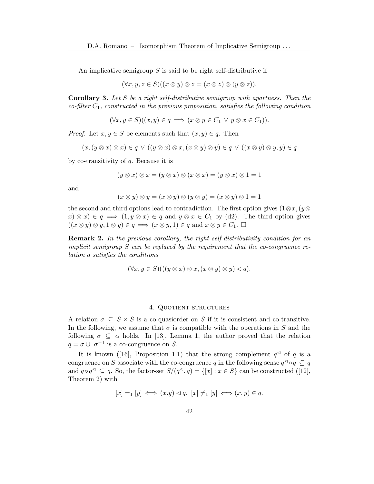An implicative semigroup  $S$  is said to be right self-distributive if

$$
(\forall x, y, z \in S)((x \otimes y) \otimes z = (x \otimes z) \otimes (y \otimes z)).
$$

**Corollary 3.** Let S be a right self-distributive semigroup with apartness. Then the  $co\text{-}filter\ C_1$ , constructed in the previous proposition, satisfies the following condition

$$
(\forall x, y \in S)((x, y) \in q \implies (x \otimes y \in C_1 \lor y \otimes x \in C_1)).
$$

*Proof.* Let  $x, y \in S$  be elements such that  $(x, y) \in q$ . Then

$$
(x,(y\otimes x)\otimes x)\in q\vee((y\otimes x)\otimes x,(x\otimes y)\otimes y)\in q\vee((x\otimes y)\otimes y,y)\in q
$$

by co-transitivity of q. Because it is

$$
(y \otimes x) \otimes x = (y \otimes x) \otimes (x \otimes x) = (y \otimes x) \otimes 1 = 1
$$

and

$$
(x \otimes y) \otimes y = (x \otimes y) \otimes (y \otimes y) = (x \otimes y) \otimes 1 = 1
$$

the second and third options lead to contradiction. The first option gives  $(1 \otimes x, (y \otimes$  $(x) \otimes x \in q \implies (1, y \otimes x) \in q$  and  $y \otimes x \in C_1$  by (d2). The third option gives  $((x \otimes y) \otimes y, 1 \otimes y) \in q \implies (x \otimes y, 1) \in q$  and  $x \otimes y \in C_1$ .  $\Box$ 

Remark 2. In the previous corollary, the right self-distributivity condition for an implicit semigroup  $S$  can be replaced by the requirement that the co-congruence relation q satisfies the conditions

$$
(\forall x, y \in S) (((y \otimes x) \otimes x, (x \otimes y) \otimes y) \vartriangleleft q).
$$

#### 4. Quotient structures

A relation  $\sigma \subseteq S \times S$  is a co-quasionation S if it is consistent and co-transitive. In the following, we assume that  $\sigma$  is compatible with the operations in S and the following  $\sigma \subseteq \alpha$  holds. In [\[13\]](#page-11-15), Lemma 1, the author proved that the relation  $q = \sigma \cup \sigma^{-1}$  is a co-congruence on S.

It is known ([\[16\]](#page-11-7), Proposition 1.1) that the strong complement  $q^{\leq}$  of q is a congruence on S associate with the co-congruence q in the following sense  $q^{\triangleleft} \circ q \subseteq q$ and  $q \circ q^{\leq} \subseteq q$ . So, the factor-set  $S/(q^{\leq}, q) = \{ [x] : x \in S \}$  can be constructed ([\[12\]](#page-11-16), Theorem 2) with

$$
[x] =_1 [y] \iff (x.y) \lhd q, [x] \neq_1 [y] \iff (x,y) \in q.
$$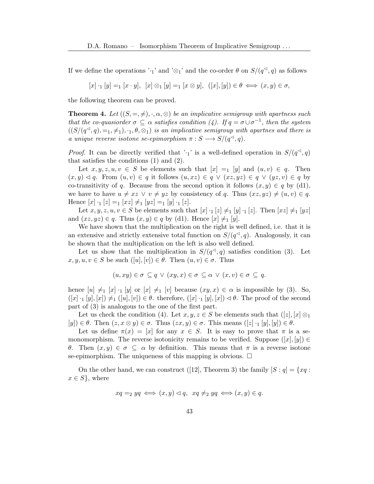If we define the operations '·<sub>1</sub>' and '⊗<sub>1</sub>' and the co-order  $\theta$  on  $S/(q<sup>d</sup>, q)$  as follows

 $[x] \cdot_1 [y] =_1 [x \cdot y], [x] \otimes_1 [y] =_1 [x \otimes y], ([x], [y]) \in \theta \iff (x, y) \in \sigma,$ 

the following theorem can be proved.

<span id="page-6-0"></span>**Theorem 4.** Let  $((S, =, \neq), \cdot, \alpha, \otimes)$  be an implicative semigroup with apartness such that the co-quasiorder  $\sigma \subseteq \alpha$  satisfies condition (4). If  $q = \sigma \cup \sigma^{-1}$ , then the system  $((S/(q<sup>1</sup>, q), =<sub>1</sub>, \neq<sub>1</sub>), ·<sub>1</sub>,  $\theta, \otimes<sub>1</sub>$ )$  is an implicative semigroup with apartnes and there is a unique reverse isotone se-epimorphism  $\pi : S \longrightarrow S/(q<sup>2</sup>, q)$ .

*Proof.* It can be directly verified that ' $\cdot_1$ ' is a well-defined operation in  $S/(q<sup>{\lhd} q)</sup>$ that satisfies the conditions (1) and (2).

Let  $x, y, z, u, v \in S$  be elements such that  $[x] =_1 [y]$  and  $(u, v) \in q$ . Then  $(x, y) \triangleleft q$ . From  $(u, v) \in q$  it follows  $(u, xz) \in q \vee (xz, yz) \in q \vee (yz, v) \in q$  by co-transitivity of q. Because from the second option it follows  $(x, y) \in q$  by (d1), we have to have  $u \neq xz \vee v \neq yz$  by consistency of q. Thus  $(xz, yz) \neq (u, v) \in q$ . Hence  $[x] \cdot_1 [z] =_1 [xz] \neq_1 [yz] =_1 [y] \cdot_1 [z]$ .

Let  $x, y, z, u, v \in S$  be elements such that  $[x] \cdot_1 [z] \neq_1 [y] \cdot_1 [z]$ . Then  $[xz] \neq_1 [yz]$ and  $(xz, yz) \in q$ . Thus  $(x, y) \in q$  by (d1). Hence  $[x] \neq_1 [y]$ .

We have shown that the multiplication on the right is well defined, i.e. that it is an extensive and strictly extensive total function on  $S/(q<sup>3</sup>, q)$ . Analogously, it can be shown that the multiplication on the left is also well defined.

Let us show that the multiplication in  $S/(q<sup>{\triangleleft}</sup>$ </sup>, q) satisfies condition (3). Let  $x, y, u, v \in S$  be such  $([u], [v]) \in \theta$ . Then  $(u, v) \in \sigma$ . Thus

$$
(u, xy) \in \sigma \subseteq q \lor (xy, x) \in \sigma \subseteq \alpha \lor (x, v) \in \sigma \subseteq q.
$$

hence  $[u] \neq_1 [x] \cdot_1 [y]$  or  $[x] \neq_1 [v]$  because  $(xy, x) \in \alpha$  is impossible by (3). So,  $([x] \cdot_1 [y], [x]) \neq_1 ([u], [v]) \in \theta$ . therefore,  $([x] \cdot_1 [y], [x]) \leq \theta$ . The proof of the second part of (3) is analogous to the one of the first part.

Let us check the condition (4). Let  $x, y, z \in S$  be elements such that  $([z], [x] \otimes_1)$  $[y] \in \theta$ . Then  $(z, x \otimes y) \in \sigma$ . Thus  $(zx, y) \in \sigma$ . This means  $([z] \cdot [y], [y]) \in \theta$ .

Let us define  $\pi(x) = [x]$  for any  $x \in S$ . It is easy to prove that  $\pi$  is a semonomorphism. The reverse isotonicity remains to be verified. Suppose  $([x], [y]) \in$ θ. Then  $(x, y) \in σ \subseteq α$  by definition. This means that π is a reverse isotone se-epimorphism. The uniqueness of this mapping is obvious.  $\Box$ 

On the other hand, we can construct ([\[12\]](#page-11-16), Theorem 3) the family  $[S : q] = \{xq :$  $x \in S$ , where

$$
xq =_2 yq \iff (x, y) \lhd q, \ xq \neq_2 yq \iff (x, y) \in q.
$$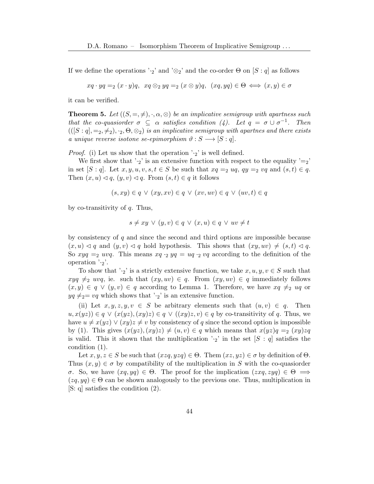If we define the operations ' $\cdot_2$ ' and ' $\otimes_2$ ' and the co-order Θ on [S : q] as follows

$$
xq \cdot yq =_2 (x \cdot y)q, \ xq \otimes_2 yq =_2 (x \otimes y)q, \ (xq, yq) \in \Theta \iff (x, y) \in \sigma
$$

it can be verified.

<span id="page-7-0"></span>**Theorem 5.** Let  $((S, =, \neq), \cdot, \alpha, \otimes)$  be an implicative semigroup with apartness such that the co-quasiorder  $\sigma \subseteq \alpha$  satisfies condition (4). Let  $q = \sigma \cup \sigma^{-1}$ . Then  $(([S:q], =_2, \neq_2), \cdot_2, \Theta, \otimes_2)$  is an implicative semigroup with apartnes and there exists a unique reverse isotone se-epimorphism  $\vartheta : S \longrightarrow [S : q].$ 

*Proof.* (i) Let us show that the operation  $\cdot_2$  is well defined.

We first show that ' $\cdot_2$ ' is an extensive function with respect to the equality '=2' in set  $[S : q]$ . Let  $x, y, u, v, s, t \in S$  be such that  $xq = 2 uq, qy = 2 vq$  and  $(s, t) \in q$ . Then  $(x, u) \lhd q$ ,  $(y, v) \lhd q$ . From  $(s, t) \in q$  it follows

$$
(s, xy) \in q \lor (xy, xv) \in q \lor (xv, uv) \in q \lor (uv, t) \in q
$$

by co-transitivity of  $q$ . Thus,

$$
s \neq xy \lor (y, v) \in q \lor (x, u) \in q \lor uv \neq t
$$

by consistency of  $q$  and since the second and third options are impossible because  $(x, u) \leq q$  and  $(y, v) \leq q$  hold hypothesis. This shows that  $(xy, uv) \neq (s, t) \leq q$ . So  $xyq =_2 wq$ . This means  $xq \cdot_2 yq = uq \cdot_2 vq$  according to the definition of the operation  $\cdot_2$ .

To show that ' $\cdot_2$ ' is a strictly extensive function, we take  $x, u, y, v \in S$  such that  $xyq \neq_2 wyq$ , ie. such that  $(xy, uv) \in q$ . From  $(xy, uv) \in q$  immediately follows  $(x, y) \in q \vee (y, v) \in q$  according to Lemma [1.](#page-4-0) Therefore, we have  $xq \neq a$  uq or  $yq \neq 2=vq$  which shows that ' $\cdot_2$ ' is an extensive function.

(ii) Let  $x, y, z, y, v \in S$  be arbitrary elements such that  $(u, v) \in q$ . Then  $u, x(yz)) \in q \vee (x(yz), (xy)z) \in q \vee ((xy)z, v) \in q$  by co-transitivity of q. Thus, we have  $u \neq x(yz) \vee (xy)z \neq v$  by consistency of q since the second option is impossible by (1). This gives  $(x(yz), (xy)z) \neq (u, v) \in q$  which means that  $x(yz)q =2$   $(xy)zq$ is valid. This it shown that the multiplication  $\cdot_2$  in the set  $[S : q]$  satisfies the condition (1).

Let  $x, y, z \in S$  be such that  $(xzq, yzq) \in \Theta$ . Them  $(xz, yz) \in \sigma$  by definition of  $\Theta$ . Thus  $(x, y) \in \sigma$  by compatibility of the multiplication in S with the co-quasionder σ. So, we have  $(xq, yq) \in Θ$ . The proof for the implication  $(zxq, zyq) \in Θ$   $\implies$  $(zq, yq) \in \Theta$  can be shown analogously to the previous one. Thus, multiplication in [S: q] satisfies the condition (2).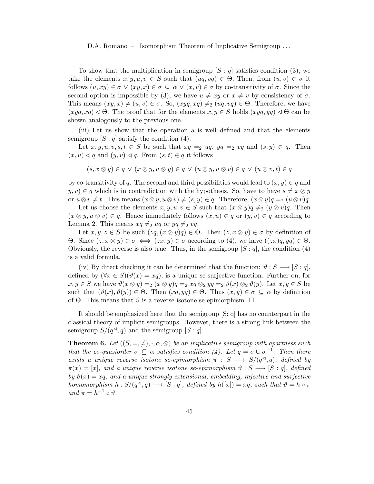To show that the multiplication in semigroup  $[S : q]$  satisfies condition (3), we take the elements  $x, y, u, v \in S$  such that  $(uq, vq) \in \Theta$ . Then, from  $(u, v) \in \sigma$  it follows  $(u, xy) \in \sigma \lor (xy, x) \in \sigma \subseteq \alpha \lor (x, v) \in \sigma$  by co-transitivity of  $\sigma$ . Since the second option is impossible by (3), we have  $u \neq xy$  or  $x \neq v$  by consistency of  $\sigma$ . This means  $(xy, x) \neq (u, v) \in \sigma$ . So,  $(xyq, xq) \neq (uq, vq) \in \Theta$ . Therefore, we have  $(xyq, xq) \triangleleft \Theta$ . The proof that for the elements  $x, y \in S$  holds  $(xyq, yq) \triangleleft \Theta$  can be shown analogously to the previous one.

(iii) Let us show that the operation a is well defined and that the elements semigroup  $[S : q]$  satisfy the condition  $(4)$ .

Let  $x, y, u, v, s, t \in S$  be such that  $xq = 2 uq, yq = 2 vq$  and  $(s, y) \in q$ . Then  $(x, u) \triangleleft q$  and  $(y, v) \triangleleft q$ . From  $(s, t) \in q$  it follows

$$
(s, x \otimes y) \in q \lor (x \otimes y, u \otimes y) \in q \lor (u \otimes y, u \otimes v) \in q \lor (u \otimes v, t) \in q
$$

by co-transitivity of q. The second and third possibilities would lead to  $(x, y) \in q$  and  $y, v) \in q$  which is in contradiction with the hypothesis. So, have to have  $s \neq x \otimes y$ or  $u \otimes v \neq t$ . This means  $(x \otimes y, u \otimes v) \neq (s, y) \in q$ . Therefore,  $(x \otimes y)q = 2$   $(u \otimes v)q$ .

Let us choose the elements  $x, y, u, v \in S$  such that  $(x \otimes y)q \neq_2 (y \otimes v)q$ . Then  $(x \otimes y, u \otimes v) \in q$ . Hence immediately follows  $(x, u) \in q$  or  $(y, v) \in q$  according to Lemma [2.](#page-4-1) This means  $xq \neq_2 uq$  or  $yq \neq_2 vq$ .

Let  $x, y, z \in S$  be such  $(zq, (x \otimes y)q) \in \Theta$ . Then  $(z, x \otimes y) \in \sigma$  by definition of Θ. Since  $(z, x \otimes y) \in σ$   $\iff (zx, y) \in σ$  according to (4), we have  $((zx)q, yq) \in Θ$ . Obviously, the reverse is also true. Thus, in the semigroup  $[S : q]$ , the condition (4) is a valid formula.

(iv) By direct checking it can be determined that the function:  $\vartheta : S \longrightarrow [S : q]$ , defined by  $(\forall x \in S)(\vartheta(x) = xq)$ , is a unique se-surjective function. Further on, for  $x, y \in S$  we have  $\vartheta(x \otimes y) =_2 (x \otimes y) =_2 x_q \otimes_2 y_q =_2 \vartheta(x) \otimes_2 \vartheta(y)$ . Let  $x, y \in S$  be such that  $(\vartheta(x), \vartheta(y)) \in \Theta$ . Then  $(xq, yq) \in \Theta$ . Thus  $(x, y) \in \sigma \subseteq \alpha$  by definition of  $\Theta$ . This means that  $\vartheta$  is a reverse isotone se-epimorphism.  $\Box$ 

It should be emphasized here that the semigroup [S: q] has no counterpart in the classical theory of implicit semigroups. However, there is a strong link between the semigroup  $S/(q^d, q)$  and the semigroup  $[S : q]$ .

<span id="page-8-0"></span>**Theorem 6.** Let  $((S, =, \neq), \cdot, \alpha, \otimes)$  be an implicative semigroup with apartness such that the co-quasiorder  $\sigma \subseteq \alpha$  satisfies condition (4). Let  $q = \sigma \cup \sigma^{-1}$ . Then there exists a unique reverse isotone se-epimorphism  $\pi : S \longrightarrow S/(q<sup>3</sup>, q)$ , defined by  $\pi(x) = [x]$ , and a unique reverse isotone se-epimorphism  $\vartheta : S \longrightarrow [S : q]$ , defined by  $\vartheta(x) = xq$ , and a unique strongly extensional, embedding, injective and surjective homomorphism  $h: S/(q^d, q) \longrightarrow [S:q]$ , defined by  $h([x]) = xq$ , such that  $\vartheta = h \circ \pi$ and  $\pi = h^{-1} \circ \vartheta$ .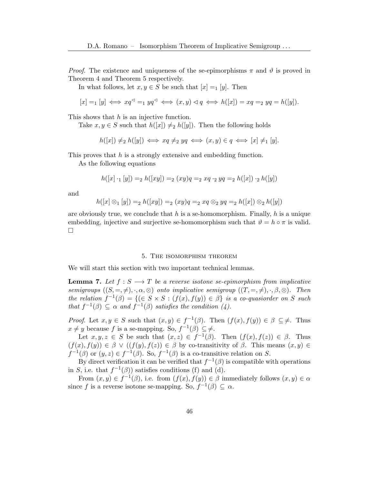*Proof.* The existence and uniqueness of the se-epimorphisms  $\pi$  and  $\vartheta$  is proved in Theorem [4](#page-6-0) and Theorem [5](#page-7-0) respectively.

In what follows, let  $x, y \in S$  be such that  $[x] =_1 [y]$ . Then

$$
[x] =_1 [y] \iff xq^{\lhd} =_1 yq^{\lhd} \iff (x, y) \lhd q \iff h([x]) = xq =_2 yq = h([y]).
$$

This shows that h is an injective function.

Take  $x, y \in S$  such that  $h([x]) \neq h([y])$ . Then the following holds

$$
h([x]) \neq_2 h([y]) \iff xq \neq_2 yq \iff (x,y) \in q \iff [x] \neq_1 [y].
$$

This proves that h is a strongly extensive and embedding function.

As the following equations

$$
h([x] \cdot_1 [y]) =_2 h([xy]) =_2 (xy)q =_2 xq \cdot_2 yq =_2 h([x]) \cdot_2 h([y])
$$

and

$$
h([x] \otimes_1 [y]) =_2 h([xy]) =_2 (xy)q =_2 xq \otimes_2 yq =_2 h([x]) \otimes_2 h([y])
$$

are obviously true, we conclude that h is a se-homomorphism. Finally, h is a unique embedding, injective and surjective se-homomorphism such that  $\vartheta = h \circ \pi$  is valid.  $\Box$ 

### 5. The isomorphism theorem

We will start this section with two important technical lemmas.

**Lemma 7.** Let  $f : S \longrightarrow T$  be a reverse isotone se-epimorphism from implicative semigroups  $((S, =, \neq), \cdot, \alpha, \otimes)$  onto implicative semigroup  $((T, =, \neq), \cdot, \beta, \otimes)$ . Then the relation  $f^{-1}(\beta) = \{ (\in S \times S : (f(x), f(y)) \in \beta \}$  is a co-quasiorder on S such that  $f^{-1}(\beta) \subseteq \alpha$  and  $f^{-1}(\beta)$  satisfies the condition (4).

*Proof.* Let  $x, y \in S$  such that  $(x, y) \in f^{-1}(\beta)$ . Then  $(f(x), f(y)) \in \beta \subseteq \neq$ . Thus  $x \neq y$  because f is a se-mapping. So,  $f^{-1}(\beta) \subseteq \neq$ .

Let  $x, y, z \in S$  be such that  $(x, z) \in f^{-1}(\beta)$ . Then  $(f(x), f(z)) \in \beta$ . Thus  $(f(x), f(y)) \in \beta \vee ((f(y), f(z)) \in \beta$  by co-transitivity of  $\beta$ . This means  $(x, y) \in \beta$  $f^{-1}(\beta)$  or  $(y, z) \in f^{-1}(\beta)$ . So,  $f^{-1}(\beta)$  is a co-transitive relation on S.

By direct verification it can be verified that  $f^{-1}(\beta)$  is compatible with operations in S, i.e. that  $f^{-1}(\beta)$  satisfies conditions (f) and (d).

From  $(x, y) \in f^{-1}(\beta)$ , i.e. from  $(f(x), f(y)) \in \beta$  immediately follows  $(x, y) \in \alpha$ since f is a reverse isotone se-mapping. So,  $f^{-1}(\beta) \subseteq \alpha$ .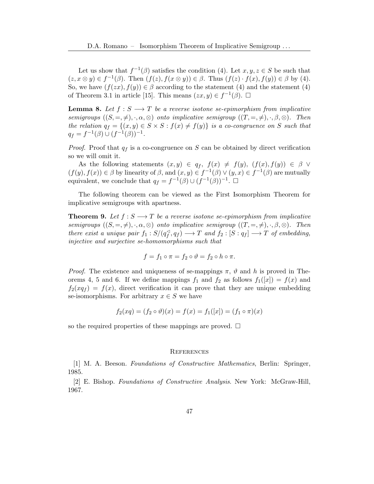Let us show that  $f^{-1}(\beta)$  satisfies the condition (4). Let  $x, y, z \in S$  be such that  $(z, x \otimes y) \in f^{-1}(\beta)$ . Then  $(f(z), f(x \otimes y)) \in \beta$ . Thus  $(f(z) \cdot f(x), f(y)) \in \beta$  by (4). So, we have  $(f(zx), f(y)) \in \beta$  according to the statement (4) and the statement (4) of Theorem 3.1 in article [\[15\]](#page-11-3). This means  $(zx, y) \in f^{-1}(\beta)$ .  $\Box$ 

**Lemma 8.** Let  $f : S \longrightarrow T$  be a reverse isotone se-epimorphism from implicative semigroups  $((S, =, \neq), \cdot, \alpha, \otimes)$  onto implicative semigroup  $((T, =, \neq), \cdot, \beta, \otimes)$ . Then the relation  $q_f = \{(x, y) \in S \times S : f(x) \neq f(y)\}\$ is a co-congruence on S such that  $q_f = f^{-1}(\beta) \cup (f^{-1}(\beta))^{-1}.$ 

*Proof.* Proof that  $q_f$  is a co-congruence on S can be obtained by direct verification so we will omit it.

As the following statements  $(x, y) \in q_f$ ,  $f(x) \neq f(y)$ ,  $(f(x), f(y)) \in \beta$   $\vee$  $(f(y), f(x)) \in \beta$  by linearity of  $\beta$ , and  $(x, y) \in f^{-1}(\beta) \vee (y, x) \in f^{-1}(\beta)$  are mutually equivalent, we conclude that  $q_f = f^{-1}(\beta) \cup (f^{-1}(\beta))^{-1}$ .  $\Box$ 

The following theorem can be viewed as the First Isomorphism Theorem for implicative semigroups with apartness.

**Theorem 9.** Let  $f : S \longrightarrow T$  be a reverse isotone se-epimorphism from implicative semigroups  $((S, =, \neq), \cdot, \alpha, \otimes)$  onto implicative semigroup  $((T, =, \neq), \cdot, \beta, \otimes)$ . Then there exist a unique pair  $f_1 : S/(q_f^{\sphericalangle})$  $f_f^{\triangleleft}, q_f$   $\rightarrow$   $T$  and  $f_2$  :  $[S:q_f]$   $\rightarrow$   $T$  of embedding, injective and surjective se-homomorphisms such that

$$
f = f_1 \circ \pi = f_2 \circ \vartheta = f_2 \circ h \circ \pi.
$$

*Proof.* The existence and uniqueness of se-mappings  $\pi$ ,  $\vartheta$  and h is proved in The-orems [4,](#page-6-0) [5](#page-7-0) and [6.](#page-8-0) If we define mappings  $f_1$  and  $f_2$  as follows  $f_1([x]) = f(x)$  and  $f_2(xq_f) = f(x)$ , direct verification it can prove that they are unique embedding se-isomorphisms. For arbitrary  $x \in S$  we have

$$
f_2(xq) = (f_2 \circ \vartheta)(x) = f(x) = f_1([x]) = (f_1 \circ \pi)(x)
$$

so the required properties of these mappings are proved.  $\Box$ 

#### **REFERENCES**

<span id="page-10-0"></span>[1] M. A. Beeson. Foundations of Constructive Mathematics, Berlin: Springer, 1985.

<span id="page-10-1"></span>[2] E. Bishop. Foundations of Constructive Analysis. New York: McGraw-Hill, 1967.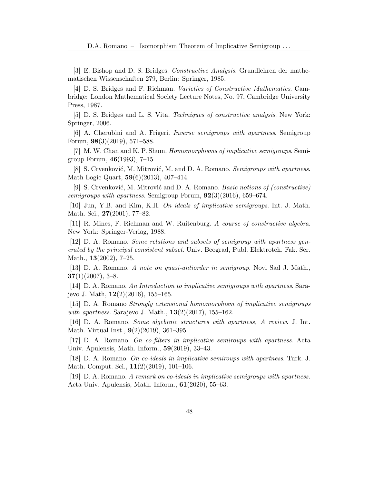<span id="page-11-11"></span>[3] E. Bishop and D. S. Bridges. Constructive Analysis. Grundlehren der mathematischen Wissenschaften 279, Berlin: Springer, 1985.

<span id="page-11-12"></span>[4] D. S. Bridges and F. Richman. Varieties of Constructive Mathematics. Cambridge: London Mathematical Society Lecture Notes, No. 97, Cambridge University Press, 1987.

<span id="page-11-13"></span>[5] D. S. Bridges and L. S. Vita. Techniques of constructive analysis. New York: Springer, 2006.

<span id="page-11-8"></span>[6] A. Cherubini and A. Frigeri. Inverse semigroups with apartness. Semigroup Forum, 98(3)(2019), 571–588.

<span id="page-11-0"></span>[7] M. W. Chan and K. P. Shum. Homomorphisms of implicative semigroups. Semigroup Forum, 46(1993), 7–15.

<span id="page-11-9"></span>[8] S. Crvenković, M. Mitrović, M. and D. A. Romano. Semigroups with apartness. Math Logic Quart, 59(6)(2013), 407–414.

<span id="page-11-10"></span>[9] S. Crvenković, M. Mitrović and D. A. Romano. Basic notions of (constructive) semigroups with apartness. Semigroup Forum,  $92(3)(2016)$ , 659–674.

<span id="page-11-1"></span>[10] Jun, Y.B. and Kim, K.H. On ideals of implicative semigroups. Int. J. Math. Math. Sci., 27(2001), 77–82.

<span id="page-11-14"></span>[11] R. Mines, F. Richman and W. Ruitenburg. A course of constructive algebra. New York: Springer-Verlag, 1988.

<span id="page-11-16"></span>[12] D. A. Romano. Some relations and subsets of semigroup with apartness generated by the principal consistent subset. Univ. Beograd, Publ. Elektroteh. Fak. Ser. Math., 13(2002), 7–25.

<span id="page-11-15"></span>[13] D. A. Romano. A note on quasi-antiorder in semigroup. Novi Sad J. Math.,  $37(1)(2007), 3–8.$ 

<span id="page-11-2"></span>[14] D. A. Romano. An Introduction to implicative semigroups with apartness. Sarajevo J. Math,  $12(2)(2016)$ , 155–165.

<span id="page-11-3"></span>[15] D. A. Romano Strongly extensional homomorphism of implicative semigroups with apartness. Sarajevo J. Math., **13**(2)(2017), 155-162.

<span id="page-11-7"></span>[16] D. A. Romano. Some algebraic structures with apartness, A review. J. Int. Math. Virtual Inst., 9(2)(2019), 361–395.

<span id="page-11-4"></span>[17] D. A. Romano. On co-filters in implicative semiroups with apartness. Acta Univ. Apulensis, Math. Inform., 59(2019), 33–43.

<span id="page-11-5"></span>[18] D. A. Romano. On co-ideals in implicative semiroups with apartness. Turk. J. Math. Comput. Sci., 11(2)(2019), 101–106.

<span id="page-11-6"></span>[19] D. A. Romano. A remark on co-ideals in implicative semigroups with apartness. Acta Univ. Apulensis, Math. Inform., 61(2020), 55–63.